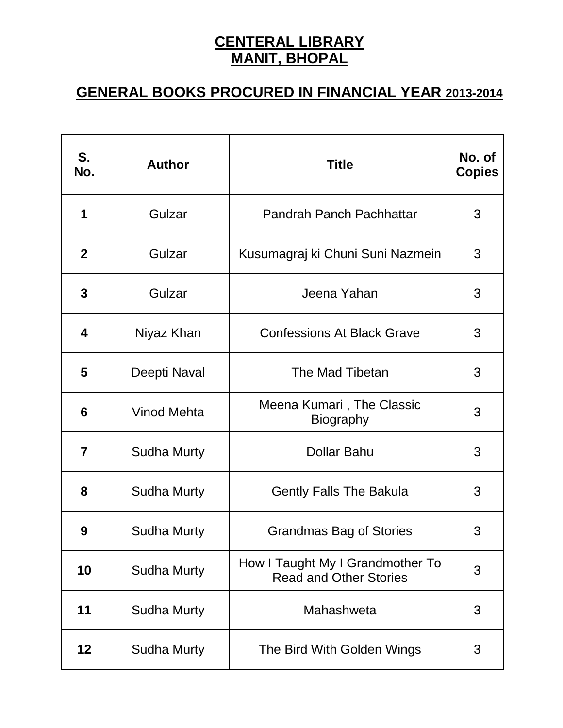## **CENTERAL LIBRARY MANIT, BHOPAL**

## **GENERAL BOOKS PROCURED IN FINANCIAL YEAR 2013-2014**

| S.<br>No.      | <b>Author</b>      | <b>Title</b>                                                      | No. of<br><b>Copies</b> |
|----------------|--------------------|-------------------------------------------------------------------|-------------------------|
| 1              | Gulzar             | Pandrah Panch Pachhattar                                          | 3                       |
| $\mathbf{2}$   | Gulzar             | Kusumagraj ki Chuni Suni Nazmein                                  | 3                       |
| 3              | Gulzar             | Jeena Yahan                                                       | 3                       |
| 4              | Niyaz Khan         | <b>Confessions At Black Grave</b>                                 | 3                       |
| 5              | Deepti Naval       | The Mad Tibetan                                                   | 3                       |
| 6              | <b>Vinod Mehta</b> | Meena Kumari, The Classic<br><b>Biography</b>                     | 3                       |
| $\overline{7}$ | <b>Sudha Murty</b> | <b>Dollar Bahu</b>                                                | 3                       |
| 8              | <b>Sudha Murty</b> | <b>Gently Falls The Bakula</b>                                    | 3                       |
| 9              | <b>Sudha Murty</b> | Grandmas Bag of Stories                                           | 3                       |
| 10             | <b>Sudha Murty</b> | How I Taught My I Grandmother To<br><b>Read and Other Stories</b> | 3                       |
| 11             | <b>Sudha Murty</b> | Mahashweta                                                        | 3                       |
| 12             | <b>Sudha Murty</b> | The Bird With Golden Wings                                        | 3                       |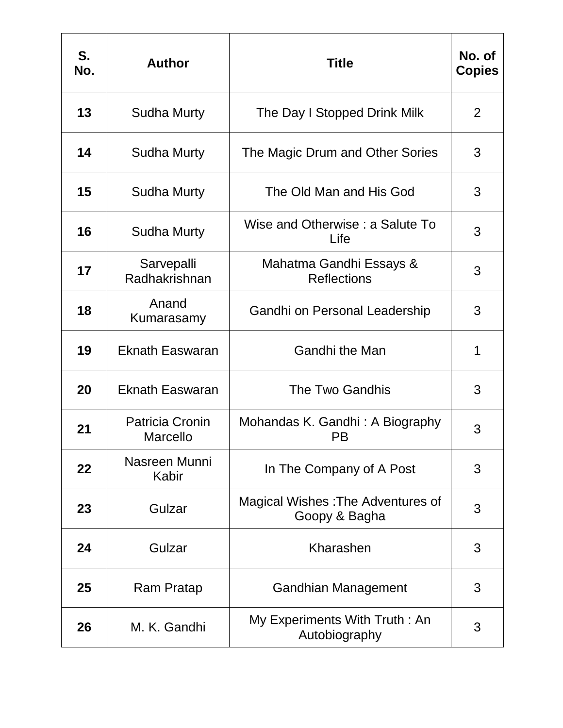| S.<br>No. | <b>Author</b>                             | <b>Title</b>                                       | No. of<br><b>Copies</b> |
|-----------|-------------------------------------------|----------------------------------------------------|-------------------------|
| 13        | <b>Sudha Murty</b>                        | The Day I Stopped Drink Milk                       | 2                       |
| 14        | Sudha Murty                               | The Magic Drum and Other Sories                    | 3                       |
| 15        | <b>Sudha Murty</b>                        | The Old Man and His God                            | 3                       |
| 16        | <b>Sudha Murty</b>                        | Wise and Otherwise: a Salute To<br>Life            | 3                       |
| 17        | Sarvepalli<br>Radhakrishnan               | Mahatma Gandhi Essays &<br><b>Reflections</b>      | 3                       |
| 18        | Anand<br>Kumarasamy                       | Gandhi on Personal Leadership                      | 3                       |
| 19        | <b>Eknath Easwaran</b>                    | <b>Gandhi the Man</b>                              | 1                       |
| 20        | <b>Eknath Easwaran</b>                    | The Two Gandhis                                    | 3                       |
| 21        | <b>Patricia Cronin</b><br><b>Marcello</b> | Mohandas K. Gandhi: A Biography<br><b>PB</b>       | 3                       |
| 22        | Nasreen Munni<br>Kabir                    | In The Company of A Post                           | 3                       |
| 23        | Gulzar                                    | Magical Wishes: The Adventures of<br>Goopy & Bagha | 3                       |
| 24        | Gulzar                                    | Kharashen                                          | 3                       |
| 25        | Ram Pratap                                | <b>Gandhian Management</b>                         | 3                       |
| 26        | M. K. Gandhi                              | My Experiments With Truth: An<br>Autobiography     | 3                       |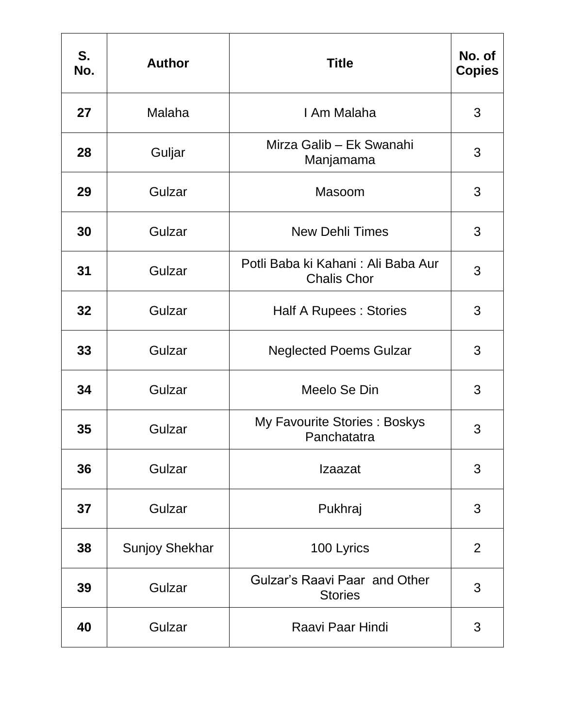| S.<br>No. | <b>Author</b>         | <b>Title</b>                                             | No. of<br><b>Copies</b> |
|-----------|-----------------------|----------------------------------------------------------|-------------------------|
| 27        | Malaha                | I Am Malaha                                              | 3                       |
| 28        | Guljar                | Mirza Galib - Ek Swanahi<br>Manjamama                    | 3                       |
| 29        | Gulzar                | Masoom                                                   | 3                       |
| 30        | Gulzar                | <b>New Dehli Times</b>                                   | 3                       |
| 31        | Gulzar                | Potli Baba ki Kahani: Ali Baba Aur<br><b>Chalis Chor</b> | 3                       |
| 32        | Gulzar                | <b>Half A Rupees: Stories</b>                            | 3                       |
| 33        | Gulzar                | <b>Neglected Poems Gulzar</b>                            | 3                       |
| 34        | Gulzar                | Meelo Se Din                                             | 3                       |
| 35        | Gulzar                | My Favourite Stories: Boskys<br>Panchatatra              | 3                       |
| 36        | Gulzar                | Izaazat                                                  | 3                       |
| 37        | Gulzar                | Pukhraj                                                  | 3                       |
| 38        | <b>Sunjoy Shekhar</b> | 100 Lyrics                                               | $\overline{2}$          |
| 39        | Gulzar                | Gulzar's Raavi Paar and Other<br><b>Stories</b>          | 3                       |
| 40        | Gulzar                | Raavi Paar Hindi                                         | 3                       |